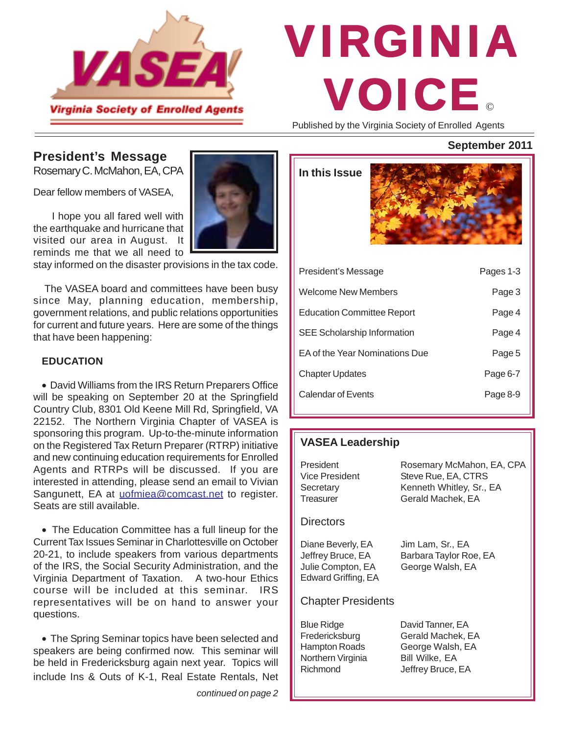

# © VIRGINIA VOICE

Published by the Virginia Society of Enrolled Agents

**In this Issue**

## **President's Message**

Rosemary C. McMahon, EA, CPA

Dear fellow members of VASEA.

 I hope you all fared well with the earthquake and hurricane that visited our area in August. It reminds me that we all need to

stay informed on the disaster provisions in the tax code.

 The VASEA board and committees have been busy since May, planning education, membership, government relations, and public relations opportunities for current and future years. Here are some of the things that have been happening:

#### **EDUCATION**

• David Williams from the IRS Return Preparers Office will be speaking on September 20 at the Springfield Country Club, 8301 Old Keene Mill Rd, Springfield, VA 22152. The Northern Virginia Chapter of VASEA is sponsoring this program. Up-to-the-minute information on the Registered Tax Return Preparer (RTRP) initiative and new continuing education requirements for Enrolled Agents and RTRPs will be discussed. If you are interested in attending, please send an email to Vivian Sangunett, EA at uofmiea@comcast.net to register. Seats are still available.

• The Education Committee has a full lineup for the Current Tax Issues Seminar in Charlottesville on October 20-21, to include speakers from various departments of the IRS, the Social Security Administration, and the Virginia Department of Taxation. A two-hour Ethics course will be included at this seminar. IRS representatives will be on hand to answer your questions.

• The Spring Seminar topics have been selected and speakers are being confirmed now. This seminar will be held in Fredericksburg again next year. Topics will include Ins & Outs of K-1, Real Estate Rentals, Net

*continued on page 2*

## **September 2011**

| President's Message                | Pages 1-3 |
|------------------------------------|-----------|
| Welcome New Members                | Page 3    |
| <b>Education Committee Report</b>  | Page 4    |
| <b>SEE Scholarship Information</b> | Page 4    |
| EA of the Year Nominations Due     | Page 5    |
| <b>Chapter Updates</b>             | Page 6-7  |
| Calendar of Events                 | Page 8-9  |
|                                    |           |

## **VASEA Leadership**

| President<br>Vice President<br>Secretary<br>Treasurer                              | Rosemary McMahon, EA, CPA<br>Steve Rue, EA, CTRS<br>Kenneth Whitley, Sr., EA<br>Gerald Machek, EA |
|------------------------------------------------------------------------------------|---------------------------------------------------------------------------------------------------|
| <b>Directors</b>                                                                   |                                                                                                   |
| Diane Beverly, EA<br>Jeffrey Bruce, EA<br>Julie Compton, EA<br>Edward Griffing, EA | Jim Lam, Sr., EA<br>Barbara Taylor Roe, EA<br>George Walsh, EA                                    |
| <b>Chapter Presidents</b>                                                          |                                                                                                   |
| Blue Ridge<br>Fredericksburg<br>Hampton Roads<br>Northern Virginia<br>Richmond     | David Tanner, EA<br>Gerald Machek, EA<br>George Walsh, EA<br>Bill Wilke, EA<br>Jeffrey Bruce, EA  |

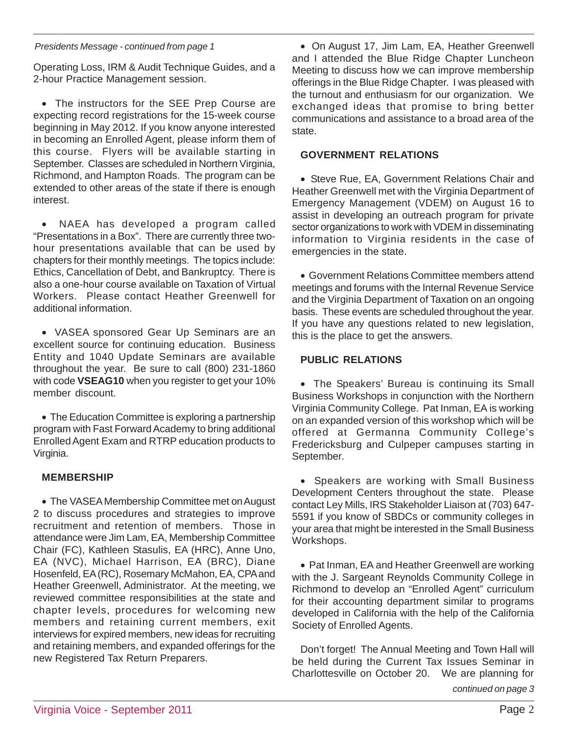#### *Presidents Message - continued from page 1*

Operating Loss, IRM & Audit Technique Guides, and a 2-hour Practice Management session.

• The instructors for the SEE Prep Course are expecting record registrations for the 15-week course beginning in May 2012. If you know anyone interested in becoming an Enrolled Agent, please inform them of this course. Flyers will be available starting in September. Classes are scheduled in Northern Virginia, Richmond, and Hampton Roads. The program can be extended to other areas of the state if there is enough interest.

NAEA has developed a program called "Presentations in a Box". There are currently three twohour presentations available that can be used by chapters for their monthly meetings. The topics include: Ethics, Cancellation of Debt, and Bankruptcy. There is also a one-hour course available on Taxation of Virtual Workers. Please contact Heather Greenwell for additional information.

• VASEA sponsored Gear Up Seminars are an excellent source for continuing education. Business Entity and 1040 Update Seminars are available throughout the year. Be sure to call (800) 231-1860 with code **VSEAG10** when you register to get your 10% member discount.

• The Education Committee is exploring a partnership program with Fast Forward Academy to bring additional Enrolled Agent Exam and RTRP education products to Virginia.

## **MEMBERSHIP**

• The VASEA Membership Committee met on August 2 to discuss procedures and strategies to improve recruitment and retention of members. Those in attendance were Jim Lam, EA, Membership Committee Chair (FC), Kathleen Stasulis, EA (HRC), Anne Uno, EA (NVC), Michael Harrison, EA (BRC), Diane Hosenfeld, EA (RC), Rosemary McMahon, EA, CPA and Heather Greenwell, Administrator. At the meeting, we reviewed committee responsibilities at the state and chapter levels, procedures for welcoming new members and retaining current members, exit interviews for expired members, new ideas for recruiting and retaining members, and expanded offerings for the new Registered Tax Return Preparers.

• On August 17, Jim Lam, EA, Heather Greenwell and I attended the Blue Ridge Chapter Luncheon Meeting to discuss how we can improve membership offerings in the Blue Ridge Chapter. I was pleased with the turnout and enthusiasm for our organization. We exchanged ideas that promise to bring better communications and assistance to a broad area of the state.

## **GOVERNMENT RELATIONS**

• Steve Rue, EA, Government Relations Chair and Heather Greenwell met with the Virginia Department of Emergency Management (VDEM) on August 16 to assist in developing an outreach program for private sector organizations to work with VDEM in disseminating information to Virginia residents in the case of emergencies in the state.

• Government Relations Committee members attend meetings and forums with the Internal Revenue Service and the Virginia Department of Taxation on an ongoing basis. These events are scheduled throughout the year. If you have any questions related to new legislation, this is the place to get the answers.

#### **PUBLIC RELATIONS**

• The Speakers' Bureau is continuing its Small Business Workshops in conjunction with the Northern Virginia Community College. Pat Inman, EA is working on an expanded version of this workshop which will be offered at Germanna Community College's Fredericksburg and Culpeper campuses starting in September.

• Speakers are working with Small Business Development Centers throughout the state. Please contact Ley Mills, IRS Stakeholder Liaison at (703) 647- 5591 if you know of SBDCs or community colleges in your area that might be interested in the Small Business Workshops.

• Pat Inman, EA and Heather Greenwell are working with the J. Sargeant Reynolds Community College in Richmond to develop an "Enrolled Agent" curriculum for their accounting department similar to programs developed in California with the help of the California Society of Enrolled Agents.

Don't forget! The Annual Meeting and Town Hall will be held during the Current Tax Issues Seminar in Charlottesville on October 20. We are planning for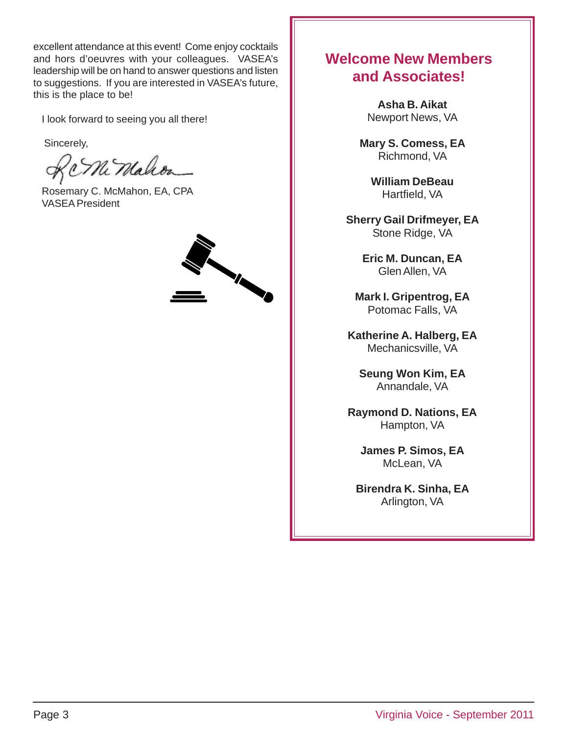excellent attendance at this event! Come enjoy cocktails and hors d'oeuvres with your colleagues. VASEA's leadership will be on hand to answer questions and listen to suggestions. If you are interested in VASEA's future, this is the place to be!

I look forward to seeing you all there!

Sincerely,

Ni Malcon

Rosemary C. McMahon, EA, CPA VASEA President



## **Welcome New Members and Associates!**

**Asha B. Aikat** Newport News, VA

**Mary S. Comess, EA** Richmond, VA

> **William DeBeau** Hartfield, VA

**Sherry Gail Drifmeyer, EA** Stone Ridge, VA

> **Eric M. Duncan, EA** Glen Allen, VA

**Mark I. Gripentrog, EA** Potomac Falls, VA

**Katherine A. Halberg, EA** Mechanicsville, VA

**Seung Won Kim, EA** Annandale, VA

**Raymond D. Nations, EA** Hampton, VA

**James P. Simos, EA** McLean, VA

**Birendra K. Sinha, EA** Arlington, VA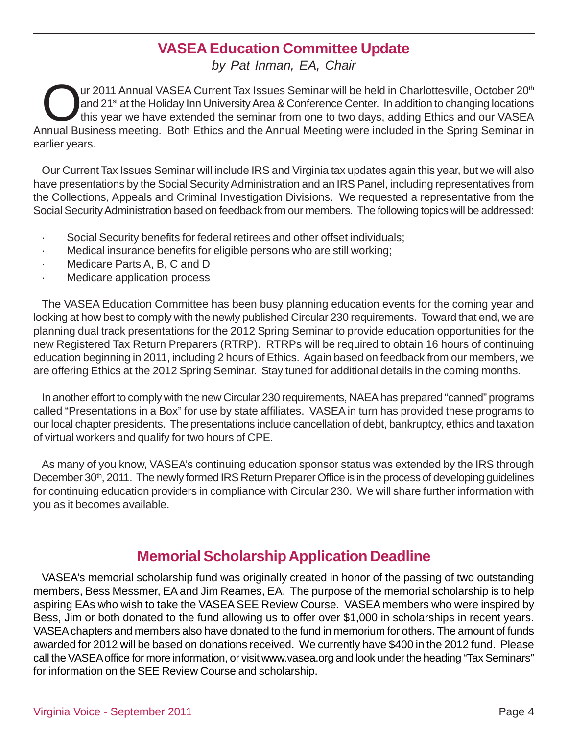## **VASEA Education Committee Update**

*by Pat Inman, EA, Chair*

Our 2011 Annual VASEA Current Tax Issues Seminar will be held in Charlottesville, October 20<sup>th</sup><br>and 21<sup>st</sup> at the Holiday Inn University Area & Conference Center. In addition to changing locations<br>this year we have extend and 21<sup>st</sup> at the Holiday Inn University Area & Conference Center. In addition to changing locations this year we have extended the seminar from one to two days, adding Ethics and our VASEA Annual Business meeting. Both Ethics and the Annual Meeting were included in the Spring Seminar in earlier years.

Our Current Tax Issues Seminar will include IRS and Virginia tax updates again this year, but we will also have presentations by the Social Security Administration and an IRS Panel, including representatives from the Collections, Appeals and Criminal Investigation Divisions. We requested a representative from the Social Security Administration based on feedback from our members. The following topics will be addressed:

- · Social Security benefits for federal retirees and other offset individuals;
- · Medical insurance benefits for eligible persons who are still working;
- Medicare Parts A, B, C and D
- Medicare application process

The VASEA Education Committee has been busy planning education events for the coming year and looking at how best to comply with the newly published Circular 230 requirements. Toward that end, we are planning dual track presentations for the 2012 Spring Seminar to provide education opportunities for the new Registered Tax Return Preparers (RTRP). RTRPs will be required to obtain 16 hours of continuing education beginning in 2011, including 2 hours of Ethics. Again based on feedback from our members, we are offering Ethics at the 2012 Spring Seminar. Stay tuned for additional details in the coming months.

In another effort to comply with the new Circular 230 requirements, NAEA has prepared "canned" programs called "Presentations in a Box" for use by state affiliates. VASEA in turn has provided these programs to our local chapter presidents. The presentations include cancellation of debt, bankruptcy, ethics and taxation of virtual workers and qualify for two hours of CPE.

As many of you know, VASEA's continuing education sponsor status was extended by the IRS through December 30<sup>th</sup>, 2011. The newly formed IRS Return Preparer Office is in the process of developing quidelines for continuing education providers in compliance with Circular 230. We will share further information with you as it becomes available.

## **Memorial Scholarship Application Deadline**

VASEA's memorial scholarship fund was originally created in honor of the passing of two outstanding members, Bess Messmer, EA and Jim Reames, EA. The purpose of the memorial scholarship is to help aspiring EAs who wish to take the VASEA SEE Review Course. VASEA members who were inspired by Bess, Jim or both donated to the fund allowing us to offer over \$1,000 in scholarships in recent years. VASEA chapters and members also have donated to the fund in memorium for others. The amount of funds awarded for 2012 will be based on donations received. We currently have \$400 in the 2012 fund. Please call the VASEA office for more information, or visit www.vasea.org and look under the heading "Tax Seminars" for information on the SEE Review Course and scholarship.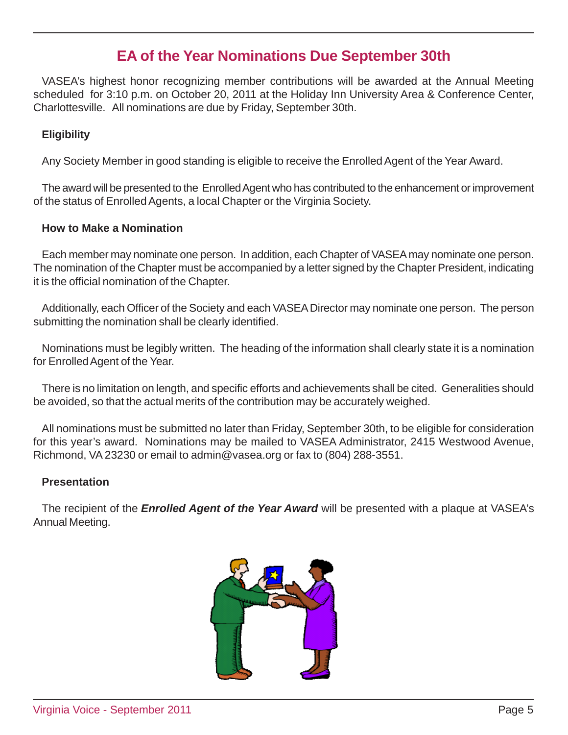## **EA of the Year Nominations Due September 30th**

VASEA's highest honor recognizing member contributions will be awarded at the Annual Meeting scheduled for 3:10 p.m. on October 20, 2011 at the Holiday Inn University Area & Conference Center, Charlottesville. All nominations are due by Friday, September 30th.

## **Eligibility**

Any Society Member in good standing is eligible to receive the Enrolled Agent of the Year Award.

The award will be presented to the Enrolled Agent who has contributed to the enhancement or improvement of the status of Enrolled Agents, a local Chapter or the Virginia Society.

## **How to Make a Nomination**

Each member may nominate one person. In addition, each Chapter of VASEA may nominate one person. The nomination of the Chapter must be accompanied by a letter signed by the Chapter President, indicating it is the official nomination of the Chapter.

Additionally, each Officer of the Society and each VASEA Director may nominate one person. The person submitting the nomination shall be clearly identified.

Nominations must be legibly written. The heading of the information shall clearly state it is a nomination for Enrolled Agent of the Year.

There is no limitation on length, and specific efforts and achievements shall be cited. Generalities should be avoided, so that the actual merits of the contribution may be accurately weighed.

All nominations must be submitted no later than Friday, September 30th, to be eligible for consideration for this year's award. Nominations may be mailed to VASEA Administrator, 2415 Westwood Avenue, Richmond, VA 23230 or email to admin@vasea.org or fax to (804) 288-3551.

## **Presentation**

The recipient of the *Enrolled Agent of the Year Award* will be presented with a plaque at VASEA's Annual Meeting.

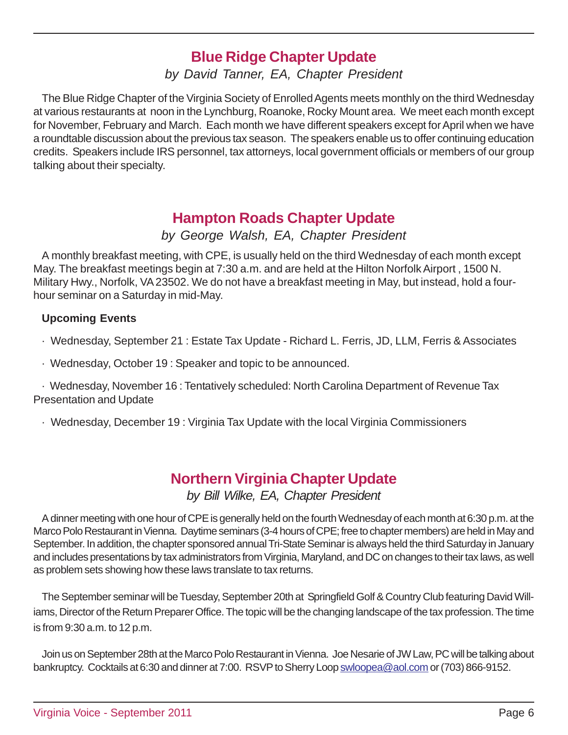## **Blue Ridge Chapter Update**

*by David Tanner, EA, Chapter President*

The Blue Ridge Chapter of the Virginia Society of Enrolled Agents meets monthly on the third Wednesday at various restaurants at noon in the Lynchburg, Roanoke, Rocky Mount area. We meet each month except for November, February and March. Each month we have different speakers except for April when we have a roundtable discussion about the previous tax season. The speakers enable us to offer continuing education credits. Speakers include IRS personnel, tax attorneys, local government officials or members of our group talking about their specialty.

## **Hampton Roads Chapter Update**

*by George Walsh, EA, Chapter President*

A monthly breakfast meeting, with CPE, is usually held on the third Wednesday of each month except May. The breakfast meetings begin at 7:30 a.m. and are held at the Hilton Norfolk Airport , 1500 N. Military Hwy., Norfolk, VA 23502. We do not have a breakfast meeting in May, but instead, hold a fourhour seminar on a Saturday in mid-May.

## **Upcoming Events**

· Wednesday, September 21 : Estate Tax Update - Richard L. Ferris, JD, LLM, Ferris & Associates

· Wednesday, October 19 : Speaker and topic to be announced.

· Wednesday, November 16 : Tentatively scheduled: North Carolina Department of Revenue Tax Presentation and Update

· Wednesday, December 19 : Virginia Tax Update with the local Virginia Commissioners

## **Northern Virginia Chapter Update** *by Bill Wilke, EA, Chapter President*

A dinner meeting with one hour of CPE is generally held on the fourth Wednesday of each month at 6:30 p.m. at the Marco Polo Restaurant in Vienna. Daytime seminars (3-4 hours of CPE; free to chapter members) are held in May and September. In addition, the chapter sponsored annual Tri-State Seminar is always held the third Saturday in January and includes presentations by tax administrators from Virginia, Maryland, and DC on changes to their tax laws, as well as problem sets showing how these laws translate to tax returns.

The September seminar will be Tuesday, September 20th at Springfield Golf & Country Club featuring David Williams, Director of the Return Preparer Office. The topic will be the changing landscape of the tax profession. The time is from 9:30 a.m. to 12 p.m.

Join us on September 28th at the Marco Polo Restaurant in Vienna. Joe Nesarie of JW Law, PC will be talking about bankruptcy. Cocktails at 6:30 and dinner at 7:00. RSVP to Sherry Loop swloopea@aol.com or (703) 866-9152.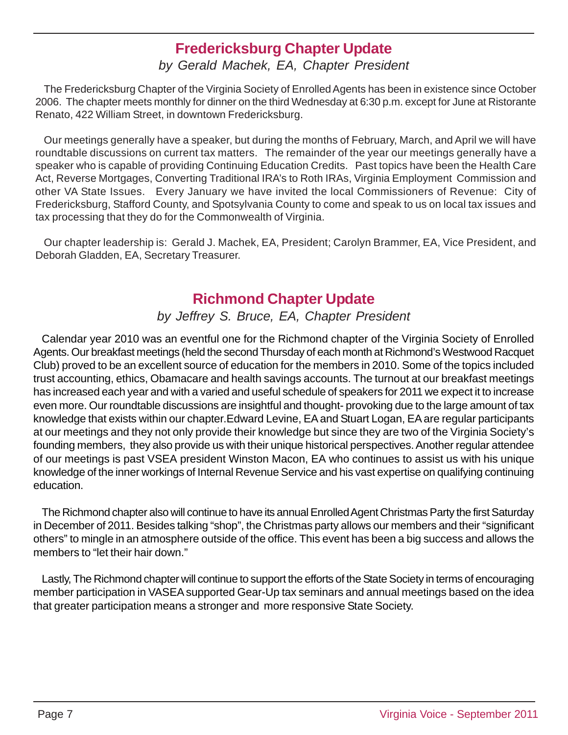## **Fredericksburg Chapter Update**

## *by Gerald Machek, EA, Chapter President*

The Fredericksburg Chapter of the Virginia Society of Enrolled Agents has been in existence since October 2006. The chapter meets monthly for dinner on the third Wednesday at 6:30 p.m. except for June at Ristorante Renato, 422 William Street, in downtown Fredericksburg.

Our meetings generally have a speaker, but during the months of February, March, and April we will have roundtable discussions on current tax matters. The remainder of the year our meetings generally have a speaker who is capable of providing Continuing Education Credits. Past topics have been the Health Care Act, Reverse Mortgages, Converting Traditional IRA's to Roth IRAs, Virginia Employment Commission and other VA State Issues. Every January we have invited the local Commissioners of Revenue: City of Fredericksburg, Stafford County, and Spotsylvania County to come and speak to us on local tax issues and tax processing that they do for the Commonwealth of Virginia.

Our chapter leadership is: Gerald J. Machek, EA, President; Carolyn Brammer, EA, Vice President, and Deborah Gladden, EA, Secretary Treasurer.

## **Richmond Chapter Update**

## *by Jeffrey S. Bruce, EA, Chapter President*

Calendar year 2010 was an eventful one for the Richmond chapter of the Virginia Society of Enrolled Agents. Our breakfast meetings (held the second Thursday of each month at Richmond's Westwood Racquet Club) proved to be an excellent source of education for the members in 2010. Some of the topics included trust accounting, ethics, Obamacare and health savings accounts. The turnout at our breakfast meetings has increased each year and with a varied and useful schedule of speakers for 2011 we expect it to increase even more. Our roundtable discussions are insightful and thought- provoking due to the large amount of tax knowledge that exists within our chapter.Edward Levine, EA and Stuart Logan, EA are regular participants at our meetings and they not only provide their knowledge but since they are two of the Virginia Society's founding members, they also provide us with their unique historical perspectives. Another regular attendee of our meetings is past VSEA president Winston Macon, EA who continues to assist us with his unique knowledge of the inner workings of Internal Revenue Service and his vast expertise on qualifying continuing education.

The Richmond chapter also will continue to have its annual Enrolled Agent Christmas Party the first Saturday in December of 2011. Besides talking "shop", the Christmas party allows our members and their "significant others" to mingle in an atmosphere outside of the office. This event has been a big success and allows the members to "let their hair down."

Lastly, The Richmond chapter will continue to support the efforts of the State Society in terms of encouraging member participation in VASEA supported Gear-Up tax seminars and annual meetings based on the idea that greater participation means a stronger and more responsive State Society.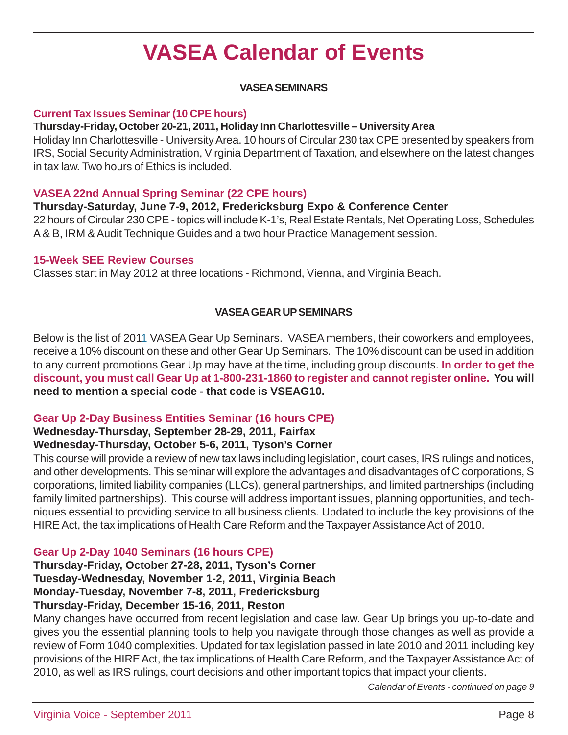## **VASEA Calendar of Events**

## **VASEA SEMINARS**

## **Current Tax Issues Seminar (10 CPE hours)**

#### **Thursday-Friday, October 20-21, 2011, Holiday Inn Charlottesville – University Area**

Holiday Inn Charlottesville - University Area. 10 hours of Circular 230 tax CPE presented by speakers from IRS, Social Security Administration, Virginia Department of Taxation, and elsewhere on the latest changes in tax law. Two hours of Ethics is included.

## **VASEA 22nd Annual Spring Seminar (22 CPE hours)**

## **Thursday-Saturday, June 7-9, 2012, Fredericksburg Expo & Conference Center**

22 hours of Circular 230 CPE - topics will include K-1's, Real Estate Rentals, Net Operating Loss, Schedules A & B, IRM & Audit Technique Guides and a two hour Practice Management session.

#### **15-Week SEE Review Courses**

Classes start in May 2012 at three locations - Richmond, Vienna, and Virginia Beach.

## **VASEA GEAR UP SEMINARS**

Below is the list of 2011 VASEA Gear Up Seminars. VASEA members, their coworkers and employees, receive a 10% discount on these and other Gear Up Seminars. The 10% discount can be used in addition to any current promotions Gear Up may have at the time, including group discounts. **In order to get the discount, you must call Gear Up at 1-800-231-1860 to register and cannot register online. You will need to mention a special code - that code is VSEAG10.**

## **Gear Up 2-Day Business Entities Seminar (16 hours CPE)**

## **Wednesday-Thursday, September 28-29, 2011, Fairfax**

## **Wednesday-Thursday, October 5-6, 2011, Tyson's Corner**

This course will provide a review of new tax laws including legislation, court cases, IRS rulings and notices, and other developments. This seminar will explore the advantages and disadvantages of C corporations, S corporations, limited liability companies (LLCs), general partnerships, and limited partnerships (including family limited partnerships). This course will address important issues, planning opportunities, and techniques essential to providing service to all business clients. Updated to include the key provisions of the HIRE Act, the tax implications of Health Care Reform and the Taxpayer Assistance Act of 2010.

## **Gear Up 2-Day 1040 Seminars (16 hours CPE)**

**Thursday-Friday, October 27-28, 2011, Tyson's Corner Tuesday-Wednesday, November 1-2, 2011, Virginia Beach Monday-Tuesday, November 7-8, 2011, Fredericksburg Thursday-Friday, December 15-16, 2011, Reston**

Many changes have occurred from recent legislation and case law. Gear Up brings you up-to-date and gives you the essential planning tools to help you navigate through those changes as well as provide a review of Form 1040 complexities. Updated for tax legislation passed in late 2010 and 2011 including key provisions of the HIRE Act, the tax implications of Health Care Reform, and the Taxpayer Assistance Act of 2010, as well as IRS rulings, court decisions and other important topics that impact your clients.

*Calendar of Events - continued on page 9*